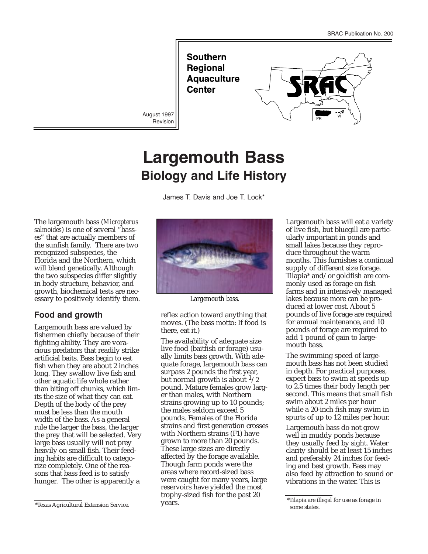**Southern Regional Aquaculture Center** 

Revision



## **Largemouth Bass Biology and Life History**

James T. Davis and Joe T. Lock\*

The largemouth bass (*Micropterus salmoides*) is one of several "basses" that are actually members of the sunfish family. There are two recognized subspecies, the Florida and the Northern, which will blend genetically. Although the two subspecies differ slightly in body structure, behavior, and growth, biochemical tests are necessary to positively identify them.

## **Food and growth**

Largemouth bass are valued by fishermen chiefly because of their fighting ability. They are voracious predators that readily strike artificial baits. Bass begin to eat fish when they are about 2 inches long. They swallow live fish and other aquatic life whole rather than biting off chunks, which limits the size of what they can eat. Depth of the body of the prey must be less than the mouth width of the bass. As a general rule the larger the bass, the larger the prey that will be selected. Very large bass usually will not prey heavily on small fish. Their feeding habits are difficult to categorize completely. One of the reasons that bass feed is to satisfy hunger. The other is apparently a



*Largemouth bass.*

reflex action toward anything that moves. (The bass motto: If food is there, eat it.)

The availability of adequate size live food (baitfish or forage) usually limits bass growth. With adequate forage, largemouth bass can surpass 2 pounds the first year, but normal growth is about  $\frac{1}{2}$ pound. Mature females grow larger than males, with Northern strains growing up to 10 pounds; the males seldom exceed 5 pounds. Females of the Florida strains and first generation crosses with Northern strains (F1) have grown to more than 20 pounds. These large sizes are directly affected by the forage available. Though farm ponds were the areas where record-sized bass were caught for many years, large reservoirs have yielded the most trophy-sized fish for the past 20 years. <sup>\*</sup>Texas Agricultural Extension Service. We are the service of the place are the place are illegal for use as forage in  $\frac{1}{2}$ 

Largemouth bass will eat a variety of live fish, but bluegill are particularly important in ponds and small lakes because they reproduce throughout the warm months. This furnishes a continual supply of different size forage. Tilapia\* and/or goldfish are commonly used as forage on fish farms and in intensively managed lakes because more can be produced at lower cost. About 5 pounds of live forage are required for annual maintenance, and 10 pounds of forage are required to add 1 pound of gain to largemouth bass.

The swimming speed of largemouth bass has not been studied in depth. For practical purposes, expect bass to swim at speeds up to 2.5 times their body length per second. This means that small fish swim about 2 miles per hour while a 20-inch fish may swim in spurts of up to 12 miles per hour.

Largemouth bass do not grow well in muddy ponds because they usually feed by sight. Water clarity should be at least 15 inches and preferably 24 inches for feeding and best growth. Bass may also feed by attraction to sound or vibrations in the water. This is

some states.